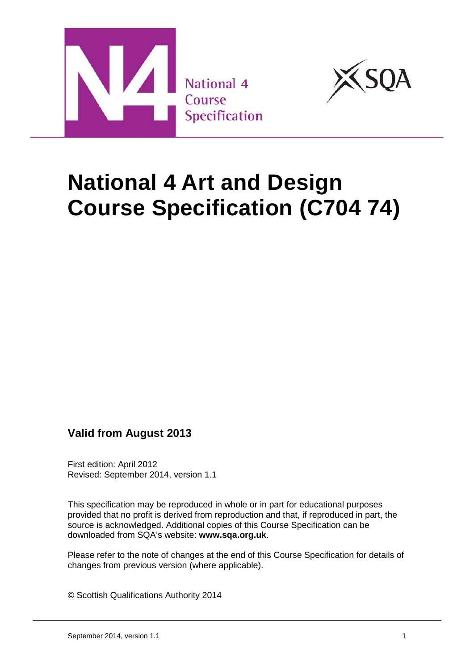



# **National 4 Art and Design Course Specification (C704 74)**

# **Valid from August 2013**

First edition: April 2012 Revised: September 2014, version 1.1

This specification may be reproduced in whole or in part for educational purposes provided that no profit is derived from reproduction and that, if reproduced in part, the source is acknowledged. Additional copies of this Course Specification can be downloaded from SQA's website: **[www.sqa.org.uk](http://www.sqa.org.uk/)**.

Please refer to the note of changes at the end of this Course Specification for details of changes from previous version (where applicable).

© Scottish Qualifications Authority 2014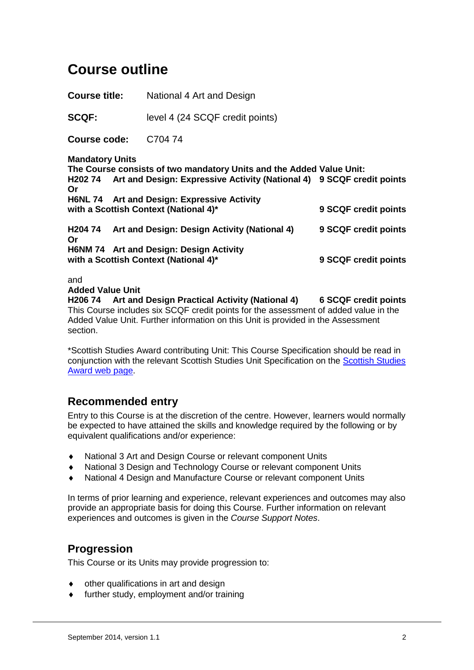# **Course outline**

**Course title:** National 4 Art and Design

**SCQF:** level 4 (24 SCQF credit points)

**Course code:** C704 74

**Mandatory Units**

**The Course consists of two mandatory Units and the Added Value Unit: H202 74 Art and Design: Expressive Activity (National 4) 9 SCQF credit points Or H6NL 74 Art and Design: Expressive Activity with a Scottish Context (National 4)\* 9 SCQF credit points**

**H204 74 Art and Design: Design Activity (National 4) 9 SCQF credit points Or H6NM 74 Art and Design: Design Activity with a Scottish Context (National 4)\* 9 SCQF credit points**

and

**Added Value Unit**

**H206 74 Art and Design Practical Activity (National 4) 6 SCQF credit points** This Course includes six SCQF credit points for the assessment of added value in the Added Value Unit. Further information on this Unit is provided in the Assessment section.

\*Scottish Studies Award contributing Unit: This Course Specification should be read in conjunction with the relevant [Scottish Studies](http://www.sqa.org.uk/sqa/64329.html) Unit Specification on the Scottish Studies [Award web page.](http://www.sqa.org.uk/sqa/64329.html)

### **Recommended entry**

Entry to this Course is at the discretion of the centre. However, learners would normally be expected to have attained the skills and knowledge required by the following or by equivalent qualifications and/or experience:

- ♦ National 3 Art and Design Course or relevant component Units
- ♦ National 3 Design and Technology Course or relevant component Units
- National 4 Design and Manufacture Course or relevant component Units

In terms of prior learning and experience, relevant experiences and outcomes may also provide an appropriate basis for doing this Course. Further information on relevant experiences and outcomes is given in the *Course Support Notes*.

# **Progression**

This Course or its Units may provide progression to:

- other qualifications in art and design
- ♦ further study, employment and/or training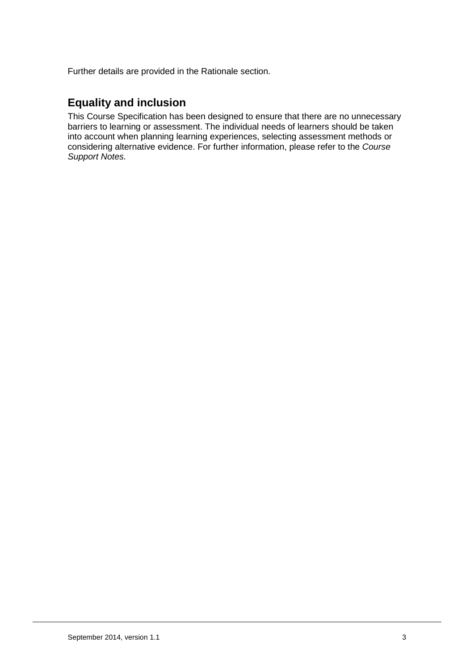Further details are provided in the Rationale section.

# **Equality and inclusion**

This Course Specification has been designed to ensure that there are no unnecessary barriers to learning or assessment. The individual needs of learners should be taken into account when planning learning experiences, selecting assessment methods or considering alternative evidence. For further information, please refer to the *Course Support Notes.*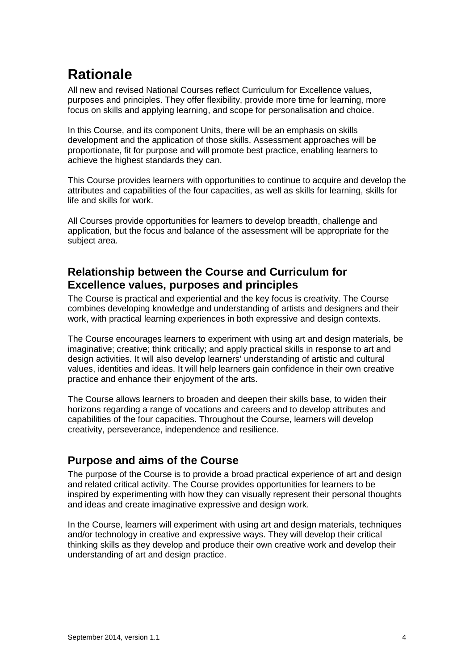# **Rationale**

All new and revised National Courses reflect Curriculum for Excellence values, purposes and principles. They offer flexibility, provide more time for learning, more focus on skills and applying learning, and scope for personalisation and choice.

In this Course, and its component Units, there will be an emphasis on skills development and the application of those skills. Assessment approaches will be proportionate, fit for purpose and will promote best practice, enabling learners to achieve the highest standards they can.

This Course provides learners with opportunities to continue to acquire and develop the attributes and capabilities of the four capacities, as well as skills for learning, skills for life and skills for work.

All Courses provide opportunities for learners to develop breadth, challenge and application, but the focus and balance of the assessment will be appropriate for the subject area.

# **Relationship between the Course and Curriculum for Excellence values, purposes and principles**

The Course is practical and experiential and the key focus is creativity. The Course combines developing knowledge and understanding of artists and designers and their work, with practical learning experiences in both expressive and design contexts.

The Course encourages learners to experiment with using art and design materials, be imaginative; creative; think critically; and apply practical skills in response to art and design activities. It will also develop learners' understanding of artistic and cultural values, identities and ideas. It will help learners gain confidence in their own creative practice and enhance their enjoyment of the arts.

The Course allows learners to broaden and deepen their skills base, to widen their horizons regarding a range of vocations and careers and to develop attributes and capabilities of the four capacities. Throughout the Course, learners will develop creativity, perseverance, independence and resilience.

# **Purpose and aims of the Course**

The purpose of the Course is to provide a broad practical experience of art and design and related critical activity. The Course provides opportunities for learners to be inspired by experimenting with how they can visually represent their personal thoughts and ideas and create imaginative expressive and design work.

In the Course, learners will experiment with using art and design materials, techniques and/or technology in creative and expressive ways. They will develop their critical thinking skills as they develop and produce their own creative work and develop their understanding of art and design practice.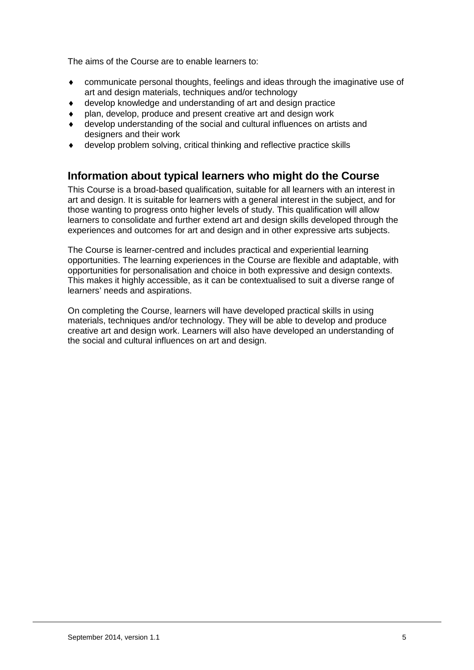The aims of the Course are to enable learners to:

- communicate personal thoughts, feelings and ideas through the imaginative use of art and design materials, techniques and/or technology
- ♦ develop knowledge and understanding of art and design practice
- plan, develop, produce and present creative art and design work
- develop understanding of the social and cultural influences on artists and designers and their work
- develop problem solving, critical thinking and reflective practice skills

### **Information about typical learners who might do the Course**

This Course is a broad-based qualification, suitable for all learners with an interest in art and design. It is suitable for learners with a general interest in the subject, and for those wanting to progress onto higher levels of study. This qualification will allow learners to consolidate and further extend art and design skills developed through the experiences and outcomes for art and design and in other expressive arts subjects.

The Course is learner-centred and includes practical and experiential learning opportunities. The learning experiences in the Course are flexible and adaptable, with opportunities for personalisation and choice in both expressive and design contexts. This makes it highly accessible, as it can be contextualised to suit a diverse range of learners' needs and aspirations.

On completing the Course, learners will have developed practical skills in using materials, techniques and/or technology. They will be able to develop and produce creative art and design work. Learners will also have developed an understanding of the social and cultural influences on art and design.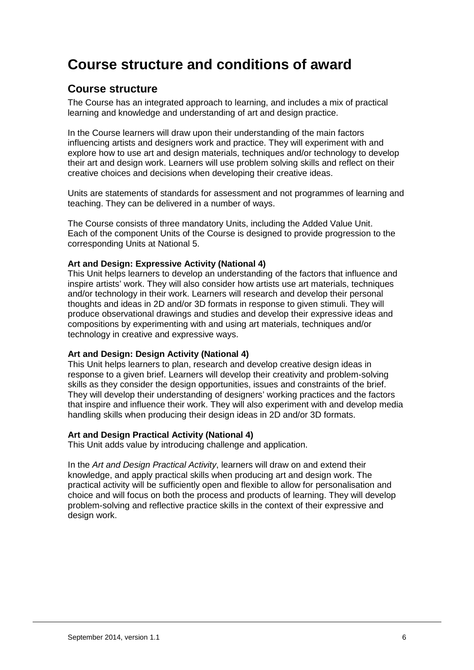# **Course structure and conditions of award**

### **Course structure**

The Course has an integrated approach to learning, and includes a mix of practical learning and knowledge and understanding of art and design practice.

In the Course learners will draw upon their understanding of the main factors influencing artists and designers work and practice. They will experiment with and explore how to use art and design materials, techniques and/or technology to develop their art and design work. Learners will use problem solving skills and reflect on their creative choices and decisions when developing their creative ideas.

Units are statements of standards for assessment and not programmes of learning and teaching. They can be delivered in a number of ways.

The Course consists of three mandatory Units, including the Added Value Unit. Each of the component Units of the Course is designed to provide progression to the corresponding Units at National 5.

#### **Art and Design: Expressive Activity (National 4)**

This Unit helps learners to develop an understanding of the factors that influence and inspire artists' work. They will also consider how artists use art materials, techniques and/or technology in their work. Learners will research and develop their personal thoughts and ideas in 2D and/or 3D formats in response to given stimuli. They will produce observational drawings and studies and develop their expressive ideas and compositions by experimenting with and using art materials, techniques and/or technology in creative and expressive ways.

#### **Art and Design: Design Activity (National 4)**

This Unit helps learners to plan, research and develop creative design ideas in response to a given brief. Learners will develop their creativity and problem-solving skills as they consider the design opportunities, issues and constraints of the brief. They will develop their understanding of designers' working practices and the factors that inspire and influence their work. They will also experiment with and develop media handling skills when producing their design ideas in 2D and/or 3D formats.

#### **Art and Design Practical Activity (National 4)**

This Unit adds value by introducing challenge and application.

In the *Art and Design Practical Activity*, learners will draw on and extend their knowledge, and apply practical skills when producing art and design work. The practical activity will be sufficiently open and flexible to allow for personalisation and choice and will focus on both the process and products of learning. They will develop problem-solving and reflective practice skills in the context of their expressive and design work.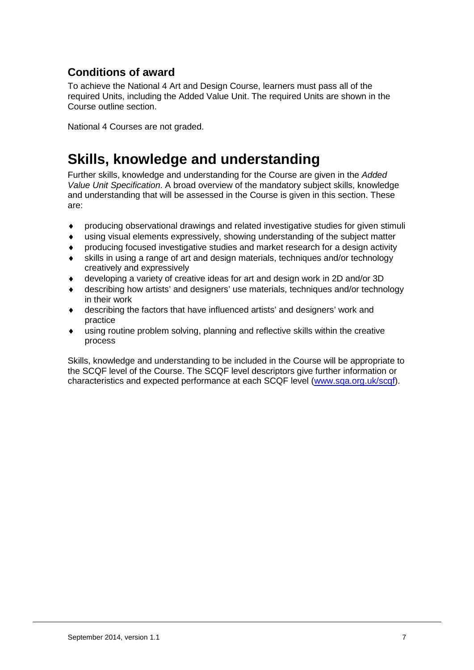# **Conditions of award**

To achieve the National 4 Art and Design Course, learners must pass all of the required Units, including the Added Value Unit. The required Units are shown in the Course outline section.

National 4 Courses are not graded.

# **Skills, knowledge and understanding**

Further skills, knowledge and understanding for the Course are given in the *Added Value Unit Specification*. A broad overview of the mandatory subject skills, knowledge and understanding that will be assessed in the Course is given in this section. These are:

- ♦ producing observational drawings and related investigative studies for given stimuli
- ♦ using visual elements expressively, showing understanding of the subject matter
- producing focused investigative studies and market research for a design activity
- skills in using a range of art and design materials, techniques and/or technology creatively and expressively
- developing a variety of creative ideas for art and design work in 2D and/or 3D
- describing how artists' and designers' use materials, techniques and/or technology in their work
- describing the factors that have influenced artists' and designers' work and practice
- $\bullet$  using routine problem solving, planning and reflective skills within the creative process

Skills, knowledge and understanding to be included in the Course will be appropriate to the SCQF level of the Course. The SCQF level descriptors give further information or characteristics and expected performance at each SCQF level [\(www.sqa.org.uk/scqf\)](http://www.sqa.org.uk/scqf).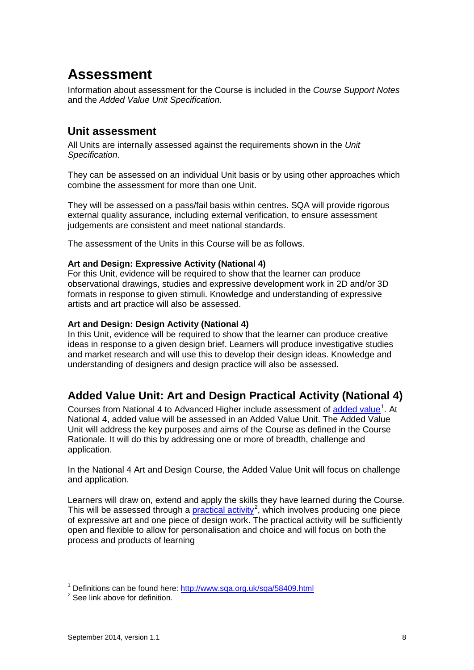# **Assessment**

Information about assessment for the Course is included in the *Course Support Notes*  and the *Added Value Unit Specification.* 

### **Unit assessment**

All Units are internally assessed against the requirements shown in the *Unit Specification*.

They can be assessed on an individual Unit basis or by using other approaches which combine the assessment for more than one Unit.

They will be assessed on a pass/fail basis within centres. SQA will provide rigorous external quality assurance, including external verification, to ensure assessment judgements are consistent and meet national standards.

The assessment of the Units in this Course will be as follows.

#### **Art and Design: Expressive Activity (National 4)**

For this Unit, evidence will be required to show that the learner can produce observational drawings, studies and expressive development work in 2D and/or 3D formats in response to given stimuli. Knowledge and understanding of expressive artists and art practice will also be assessed.

#### **Art and Design: Design Activity (National 4)**

In this Unit, evidence will be required to show that the learner can produce creative ideas in response to a given design brief. Learners will produce investigative studies and market research and will use this to develop their design ideas. Knowledge and understanding of designers and design practice will also be assessed.

# **Added Value Unit: Art and Design Practical Activity (National 4)**

Courses from National 4 to Advanced Higher include assessment of [added value](http://www.sqa.org.uk/sqa/45528.html)<sup>[1](#page-7-0)</sup>. At National 4, added value will be assessed in an Added Value Unit. The Added Value Unit will address the key purposes and aims of the Course as defined in the Course Rationale. It will do this by addressing one or more of breadth, challenge and application.

In the National 4 Art and Design Course, the Added Value Unit will focus on challenge and application.

Learners will draw on, extend and apply the skills they have learned during the Course. This will be assessed through a **practical activity**<sup>[2](#page-7-1)</sup>, which involves producing one piece of expressive art and one piece of design work. The practical activity will be sufficiently open and flexible to allow for personalisation and choice and will focus on both the process and products of learning

<span id="page-7-0"></span><sup>&</sup>lt;sup>1</sup> Definitions can be found here:  $\frac{http://www.sqa.org.uk/sqa/58409.html}{8}$ <br><sup>2</sup> See link above for definition.

<span id="page-7-1"></span>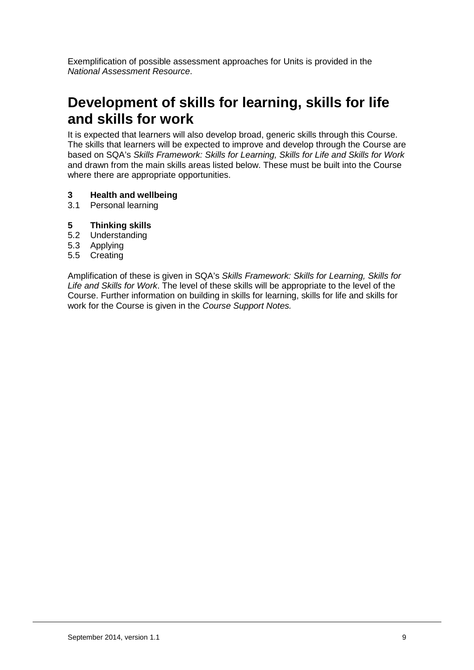Exemplification of possible assessment approaches for Units is provided in the *National Assessment Resource*.

# **Development of skills for learning, skills for life and skills for work**

It is expected that learners will also develop broad, generic skills through this Course. The skills that learners will be expected to improve and develop through the Course are based on SQA's *Skills Framework: Skills for Learning, Skills for Life and Skills for Work* and drawn from the main skills areas listed below. These must be built into the Course where there are appropriate opportunities.

# **3 Health and wellbeing**

- Personal learning
- **5 Thinking skills**
- 5.2 Understanding
- 5.3 Applying
- 5.5 Creating

Amplification of these is given in SQA's *Skills Framework: Skills for Learning, Skills for Life and Skills for Work*. The level of these skills will be appropriate to the level of the Course. Further information on building in skills for learning, skills for life and skills for work for the Course is given in the *Course Support Notes.*